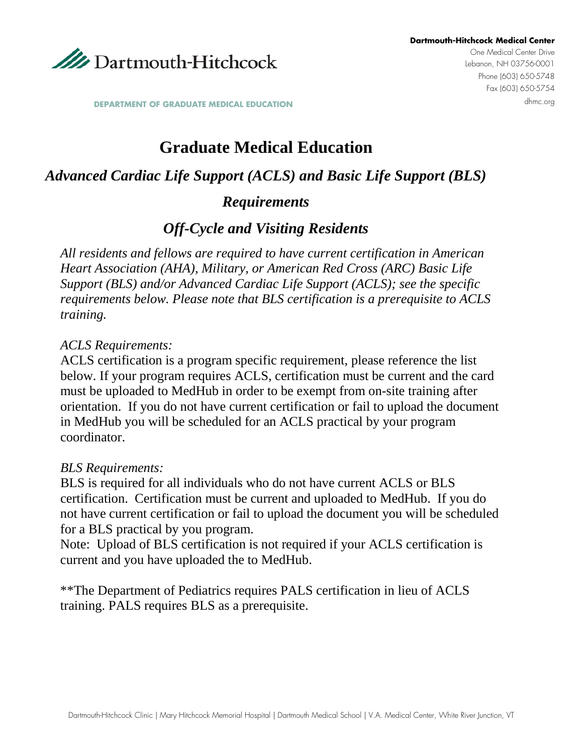

**DEPARTMENT OF GRADUATE MEDICAL EDUCATION** 

# **Graduate Medical Education**

### *Advanced Cardiac Life Support (ACLS) and Basic Life Support (BLS)*

#### *Requirements*

### *Off-Cycle and Visiting Residents*

*All residents and fellows are required to have current certification in American Heart Association (AHA), Military, or American Red Cross (ARC) Basic Life Support (BLS) and/or Advanced Cardiac Life Support (ACLS); see the specific requirements below. Please note that BLS certification is a prerequisite to ACLS training.*

#### *ACLS Requirements:*

ACLS certification is a program specific requirement, please reference the list below. If your program requires ACLS, certification must be current and the card must be uploaded to MedHub in order to be exempt from on-site training after orientation. If you do not have current certification or fail to upload the document in MedHub you will be scheduled for an ACLS practical by your program coordinator.

#### *BLS Requirements:*

BLS is required for all individuals who do not have current ACLS or BLS certification. Certification must be current and uploaded to MedHub. If you do not have current certification or fail to upload the document you will be scheduled for a BLS practical by you program.

Note: Upload of BLS certification is not required if your ACLS certification is current and you have uploaded the to MedHub.

\*\*The Department of Pediatrics requires PALS certification in lieu of ACLS training. PALS requires BLS as a prerequisite.